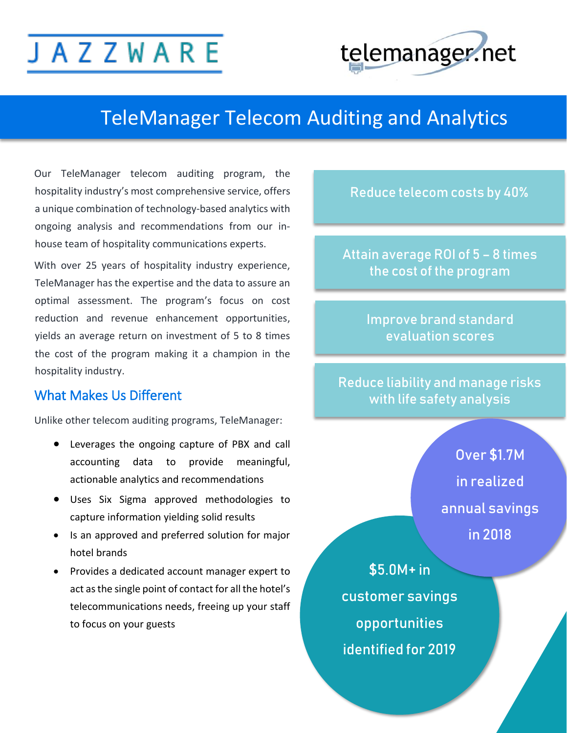# **JAZZWARE**



### TeleManager Telecom Auditing and Analytics

Our TeleManager telecom auditing program, the hospitality industry's most comprehensive service, offers a unique combination of technology-based analytics with ongoing analysis and recommendations from our inhouse team of hospitality communications experts.

With over 25 years of hospitality industry experience, TeleManager has the expertise and the data to assure an optimal assessment. The program's focus on cost reduction and revenue enhancement opportunities, yields an average return on investment of 5 to 8 times the cost of the program making it a champion in the hospitality industry.

#### What Makes Us Different

Unlike other telecom auditing programs, TeleManager:

- Leverages the ongoing capture of PBX and call accounting data to provide meaningful, actionable analytics and recommendations
- Uses Six Sigma approved methodologies to capture information yielding solid results
- Is an approved and preferred solution for major hotel brands
- Provides a dedicated account manager expert to act as the single point of contact for all the hotel's telecommunications needs, freeing up your staff to focus on your guests

Reduce telecom costs by 40%

Attain average ROI of 5 – 8 times the cost of the program

> Improve brand standard evaluation scores

Reduce liability and manage risks with life safety analysis

> Over \$1.7M in realized annual savings in 2018

 opportunities \$5.0M+ in customer savings identified for 2019